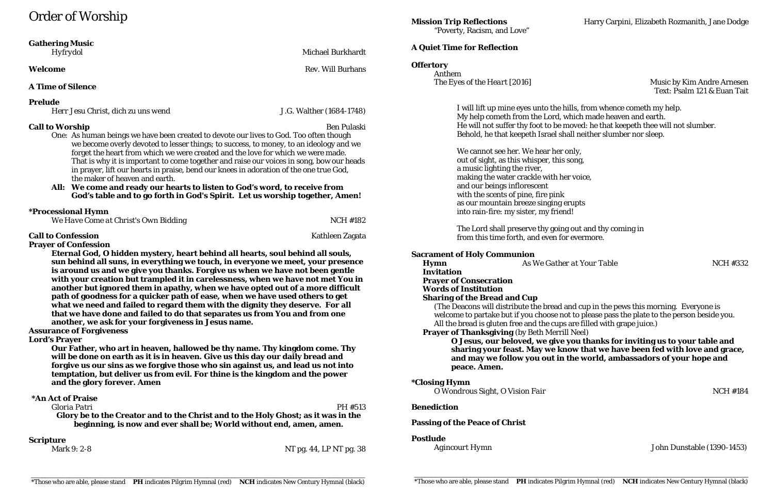# Order of Worship

### **Gathering Music**

*Hyfrydol* Michael Burkhardt

**Welcome** Rev. Will Burhans

#### **A Time of Silence**

#### **Prelude**

*Herr Jesu Christ, dich zu uns wend* J.G. Walther (1684-1748)

### **Call to Worship** Ben Pulaski

One: As human beings we have been created to devote our lives to God. Too often though we become overly devoted to lesser things; to success, to money, to an ideology and we forget the heart from which we were created and the love for which we were made. That is why it is important to come together and raise our voices in song, bow our heads in prayer, lift our hearts in praise, bend our knees in adoration of the one true God, the maker of heaven and earth.

#### **All: We come and ready our hearts to listen to God's word, to receive from God's table and to go forth in God's Spirit. Let us worship together, Amen!**

### **\*Processional Hymn**

| We Have Come at Christ's Own Bidding | <b>NCH #182</b> |
|--------------------------------------|-----------------|
|                                      |                 |

### **Call to Confession** Kathleen Zagata

**Prayer of Confession**

*The Eyes of the Heart* [2016] Music by Kim Andre Arnesen Text: Psalm 121 & Euan Tait

**Hymn** *As We Gather at Your Table* **<b>***NCH #332* 

**Eternal God, O hidden mystery, heart behind all hearts, soul behind all souls, sun behind all suns, in everything we touch, in everyone we meet, your presence is around us and we give you thanks. Forgive us when we have not been gentle with your creation but trampled it in carelessness, when we have not met You in another but ignored them in apathy, when we have opted out of a more difficult path of goodness for a quicker path of ease, when we have used others to get what we need and failed to regard them with the dignity they deserve. For all that we have done and failed to do that separates us from You and from one another, we ask for your forgiveness in Jesus name.**

#### **Assurance of Forgiveness**

**Lord's Prayer**

**Our Father, who art in heaven, hallowed be thy name. Thy kingdom come. Thy will be done on earth as it is in heaven. Give us this day our daily bread and forgive us our sins as we forgive those who sin against us, and lead us not into temptation, but deliver us from evil. For thine is the kingdom and the power and the glory forever. Amen**

#### **\*An Act of Praise**

*Gloria Patri* PH #513 **Glory be to the Creator and to the Christ and to the Holy Ghost; as it was in the beginning, is now and ever shall be; World without end, amen, amen.**

**Scripture**

Mark 9: 2-8 NT pg. 44, LP NT pg. 38

"Poverty, Racism, and Love"

#### **A Quiet Time for Reflection**

#### **Offertory**

Anthem

I will lift up mine eyes unto the hills, from whence cometh my help. My help cometh from the Lord, which made heaven and earth. He will not suffer thy foot to be moved: he that keepeth thee will not slumber. Behold, he that keepeth Israel shall neither slumber nor sleep.

We cannot see her. We hear her only, out of sight, as this whisper, this song, a music lighting the river, making the water crackle with her voice, and our beings inflorescent with the scents of pine, fire pink as our mountain breeze singing erupts into rain-fire: my sister, my friend!

The Lord shall preserve thy going out and thy coming in from this time forth, and even for evermore.

#### **Sacrament of Holy Communion**

**Invitation Prayer of Consecration Words of Institution**

### **Sharing of the Bread and Cup**

(The Deacons will distribute the bread and cup in the pews this morning. Everyone is welcome to partake but if you choose not to please pass the plate to the person beside you. All the bread is gluten free and the cups are filled with grape juice.)

**Prayer of Thanksgiving** (by Beth Merrill Neel) **O Jesus, our beloved, we give you thanks for inviting us to your table and sharing your feast. May we know that we have been fed with love and grace, and may we follow you out in the world, ambassadors of your hope and peace. Amen.**

#### **\*Closing Hymn**

*O Wondrous Sight, O Vision Fair* NCH #184

#### **Benediction**

#### **Passing of the Peace of Christ**

#### **Postlude**

*Agincourt Hymn* John Dunstable (1390-1453)

**Mission Trip Reflections** Harry Carpini, Elizabeth Rozmanith, Jane Dodge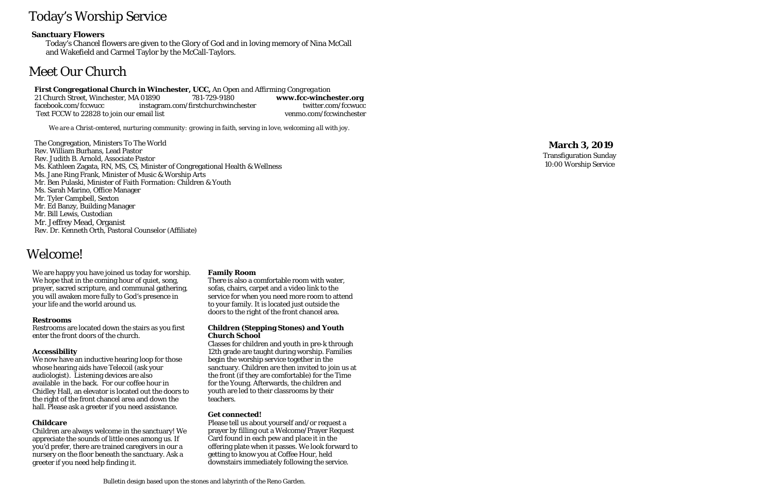# Today's Worship Service

### **Sanctuary Flowers**

Today's Chancel flowers are given to the Glory of God and in loving memory of Nina McCall and Wakefield and Carmel Taylor by the McCall-Taylors.

# Meet Our Church

# **First Congregational Church in Winchester, UCC,** *An Open and Affirming Congregation*

21 Church Street, Winchester, MA 01890 facebook.com/fccwucc instagram.com/firstchurchwinchester twitter.com/fccwucc Text FCCW to 22828 to join our email list venmo.com/fccwinchester

*We are a Christ-centered, nurturing community: growing in faith, serving in love, welcoming all with joy.*

The Congregation, Ministers To The World Rev. William Burhans, Lead Pastor Rev. Judith B. Arnold, Associate Pastor Ms. Kathleen Zagata, RN, MS, CS, Minister of Congregational Health & Wellness Ms. Jane Ring Frank, Minister of Music & Worship Arts Mr. Ben Pulaski, Minister of Faith Formation: Children & Youth Ms. Sarah Marino, Office Manager Mr. Tyler Campbell, Sexton Mr. Ed Banzy, Building Manager Mr. Bill Lewis, Custodian Mr. Jeffrey Mead, Organist Rev. Dr. Kenneth Orth, Pastoral Counselor (Affiliate)

# Welcome!

We are happy you have joined us today for worship. We hope that in the coming hour of quiet, song, prayer, sacred scripture, and communal gathering, you will awaken more fully to God's presence in your life and the world around us.

#### **Restrooms**

Restrooms are located down the stairs as you first enter the front doors of the church.

#### **Accessibility**

We now have an inductive hearing loop for those whose hearing aids have Telecoil (ask your audiologist). Listening devices are also available in the back. For our coffee hour in Chidley Hall, an elevator is located out the doors to the right of the front chancel area and down the hall. Please ask a greeter if you need assistance.

#### **Childcare**

Children are always welcome in the sanctuary! We appreciate the sounds of little ones among us. If you'd prefer, there are trained caregivers in our a nursery on the floor beneath the sanctuary. Ask a greeter if you need help finding it.

#### **Family Room**

There is also a comfortable room with water, sofas, chairs, carpet and a video link to the service for when you need more room to attend to your family. It is located just outside the doors to the right of the front chancel area.

#### **Children (Stepping Stones) and Youth Church School**

Classes for children and youth in pre-k through 12th grade are taught during worship. Families begin the worship service together in the sanctuary. Children are then invited to join us at the front (if they are comfortable) for the Time for the Young. Afterwards, the children and youth are led to their classrooms by their teachers.

#### **Get connected!**

Please tell us about yourself and/or request a prayer by filling out a Welcome/Prayer Request Card found in each pew and place it in the offering plate when it passes. We look forward to getting to know you at Coffee Hour, held downstairs immediately following the service.

## **March 3, 2019**

Transfiguration Sunday 10:00 Worship Service